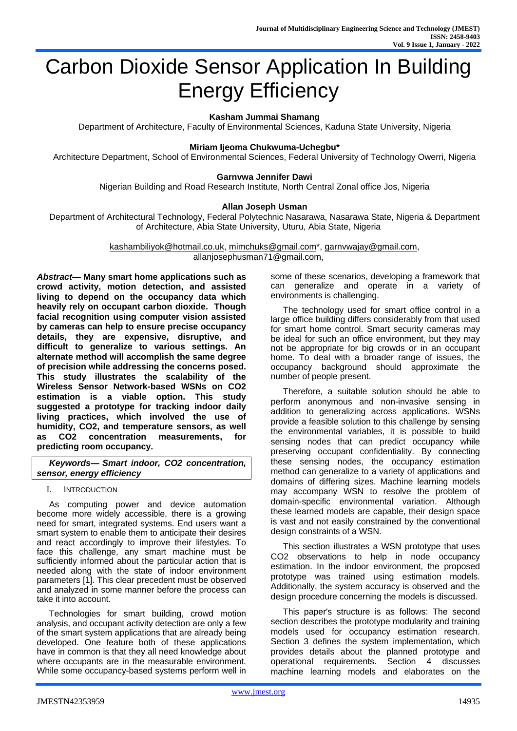# Carbon Dioxide Sensor Application In Building Energy Efficiency

# **Kasham Jummai Shamang**

Department of Architecture, Faculty of Environmental Sciences, Kaduna State University, Nigeria

## **Miriam Ijeoma Chukwuma-Uchegbu\***

Architecture Department, School of Environmental Sciences, Federal University of Technology Owerri, Nigeria

#### **Garnvwa Jennifer Dawi**

Nigerian Building and Road Research Institute, North Central Zonal office Jos, Nigeria

#### **Allan Joseph Usman**

Department of Architectural Technology, Federal Polytechnic Nasarawa, Nasarawa State, Nigeria & Department of Architecture, Abia State University, Uturu, Abia State, Nigeria

> [kashambiliyok@hotmail.co.uk,](mailto:kashambiliyok@hotmail.co.uk) [mimchuks@gmail.com\\*](mailto:mimchuks@gmail.com), [garnvwajay@gmail.com,](mailto:garnvwajay@gmail.com) [allanjosephusman71@gmail.com,](mailto:allanjosephusman71@gmail.com)

*Abstract***— Many smart home applications such as crowd activity, motion detection, and assisted living to depend on the occupancy data which heavily rely on occupant carbon dioxide. Though facial recognition using computer vision assisted by cameras can help to ensure precise occupancy details, they are expensive, disruptive, and difficult to generalize to various settings. An alternate method will accomplish the same degree of precision while addressing the concerns posed. This study illustrates the scalability of the Wireless Sensor Network-based WSNs on CO2 estimation is a viable option. This study suggested a prototype for tracking indoor daily living practices, which involved the use of humidity, CO2, and temperature sensors, as well as CO2 concentration measurements, for predicting room occupancy.** 

*Keywords— Smart indoor, CO2 concentration, sensor, energy efficiency*

## I. INTRODUCTION

As computing power and device automation become more widely accessible, there is a growing need for smart, integrated systems. End users want a smart system to enable them to anticipate their desires and react accordingly to improve their lifestyles. To face this challenge, any smart machine must be sufficiently informed about the particular action that is needed along with the state of indoor environment parameters [1]. This clear precedent must be observed and analyzed in some manner before the process can take it into account.

Technologies for smart building, crowd motion analysis, and occupant activity detection are only a few of the smart system applications that are already being developed. One feature both of these applications have in common is that they all need knowledge about where occupants are in the measurable environment. While some occupancy-based systems perform well in some of these scenarios, developing a framework that can generalize and operate in a variety of environments is challenging.

The technology used for smart office control in a large office building differs considerably from that used for smart home control. Smart security cameras may be ideal for such an office environment, but they may not be appropriate for big crowds or in an occupant home. To deal with a broader range of issues, the occupancy background should approximate the number of people present.

Therefore, a suitable solution should be able to perform anonymous and non-invasive sensing in addition to generalizing across applications. WSNs provide a feasible solution to this challenge by sensing the environmental variables, it is possible to build sensing nodes that can predict occupancy while preserving occupant confidentiality. By connecting these sensing nodes, the occupancy estimation method can generalize to a variety of applications and domains of differing sizes. Machine learning models may accompany WSN to resolve the problem of domain-specific environmental variation. Although these learned models are capable, their design space is vast and not easily constrained by the conventional design constraints of a WSN.

This section illustrates a WSN prototype that uses CO2 observations to help in node occupancy estimation. In the indoor environment, the proposed prototype was trained using estimation models. Additionally, the system accuracy is observed and the design procedure concerning the models is discussed.

This paper's structure is as follows: The second section describes the prototype modularity and training models used for occupancy estimation research. Section 3 defines the system implementation, which provides details about the planned prototype and operational requirements. Section 4 discusses machine learning models and elaborates on the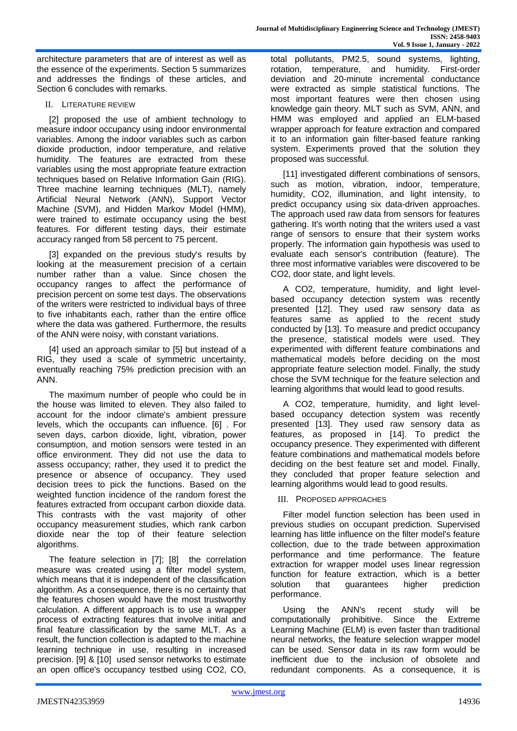architecture parameters that are of interest as well as the essence of the experiments. Section 5 summarizes and addresses the findings of these articles, and Section 6 concludes with remarks.

# II. LITERATURE REVIEW

[2] proposed the use of ambient technology to measure indoor occupancy using indoor environmental variables. Among the indoor variables such as carbon dioxide production, indoor temperature, and relative humidity. The features are extracted from these variables using the most appropriate feature extraction techniques based on Relative Information Gain (RIG). Three machine learning techniques (MLT), namely Artificial Neural Network (ANN), Support Vector Machine (SVM), and Hidden Markov Model (HMM), were trained to estimate occupancy using the best features. For different testing days, their estimate accuracy ranged from 58 percent to 75 percent.

[3] expanded on the previous study's results by looking at the measurement precision of a certain number rather than a value. Since chosen the occupancy ranges to affect the performance of precision percent on some test days. The observations of the writers were restricted to individual bays of three to five inhabitants each, rather than the entire office where the data was gathered. Furthermore, the results of the ANN were noisy, with constant variations.

[4] used an approach similar to [5] but instead of a RIG, they used a scale of symmetric uncertainty, eventually reaching 75% prediction precision with an ANN.

The maximum number of people who could be in the house was limited to eleven. They also failed to account for the indoor climate's ambient pressure levels, which the occupants can influence. [6] . For seven days, carbon dioxide, light, vibration, power consumption, and motion sensors were tested in an office environment. They did not use the data to assess occupancy; rather, they used it to predict the presence or absence of occupancy. They used decision trees to pick the functions. Based on the weighted function incidence of the random forest the features extracted from occupant carbon dioxide data. This contrasts with the vast majority of other occupancy measurement studies, which rank carbon dioxide near the top of their feature selection algorithms.

The feature selection in [7]; [8] the correlation measure was created using a filter model system, which means that it is independent of the classification algorithm. As a consequence, there is no certainty that the features chosen would have the most trustworthy calculation. A different approach is to use a wrapper process of extracting features that involve initial and final feature classification by the same MLT. As a result, the function collection is adapted to the machine learning technique in use, resulting in increased precision. [9] & [10] used sensor networks to estimate an open office's occupancy testbed using CO2, CO, total pollutants, PM2.5, sound systems, lighting, rotation, temperature, and humidity. First-order deviation and 20-minute incremental conductance were extracted as simple statistical functions. The most important features were then chosen using knowledge gain theory. MLT such as SVM, ANN, and HMM was employed and applied an ELM-based wrapper approach for feature extraction and compared it to an information gain filter-based feature ranking system. Experiments proved that the solution they proposed was successful.

[11] investigated different combinations of sensors, such as motion, vibration, indoor, temperature, humidity, CO2, illumination, and light intensity, to predict occupancy using six data-driven approaches. The approach used raw data from sensors for features gathering. It's worth noting that the writers used a vast range of sensors to ensure that their system works properly. The information gain hypothesis was used to evaluate each sensor's contribution (feature). The three most informative variables were discovered to be CO2, door state, and light levels.

A CO2, temperature, humidity, and light levelbased occupancy detection system was recently presented [12]. They used raw sensory data as features same as applied to the recent study conducted by [13]. To measure and predict occupancy the presence, statistical models were used. They experimented with different feature combinations and mathematical models before deciding on the most appropriate feature selection model. Finally, the study chose the SVM technique for the feature selection and learning algorithms that would lead to good results.

A CO2, temperature, humidity, and light levelbased occupancy detection system was recently presented [13]. They used raw sensory data as features, as proposed in [14]. To predict the occupancy presence. They experimented with different feature combinations and mathematical models before deciding on the best feature set and model. Finally, they concluded that proper feature selection and learning algorithms would lead to good results.

#### III. PROPOSED APPROACHES

Filter model function selection has been used in previous studies on occupant prediction. Supervised learning has little influence on the filter model's feature collection, due to the trade between approximation performance and time performance. The feature extraction for wrapper model uses linear regression function for feature extraction, which is a better solution that guarantees higher prediction performance.

Using the ANN's recent study will be computationally prohibitive. Since the Extreme Learning Machine (ELM) is even faster than traditional neural networks, the feature selection wrapper model can be used. Sensor data in its raw form would be inefficient due to the inclusion of obsolete and redundant components. As a consequence, it is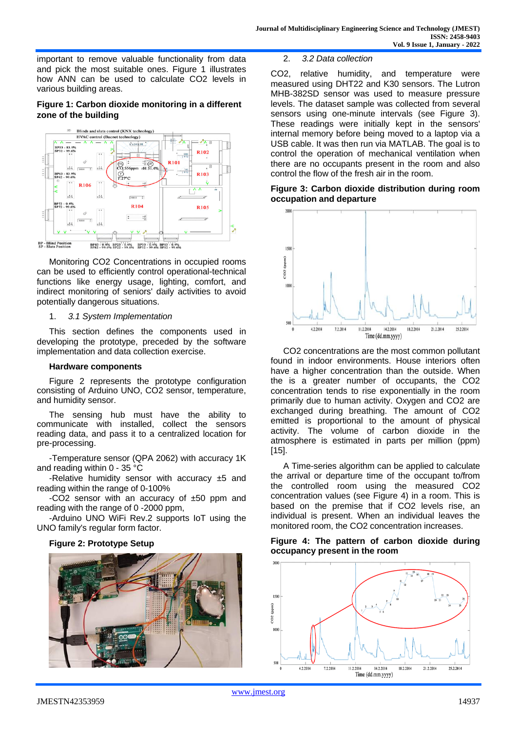important to remove valuable functionality from data and pick the most suitable ones. Figure 1 illustrates how ANN can be used to calculate CO2 levels in various building areas.

# **Figure 1: Carbon dioxide monitoring in a different zone of the building**



Monitoring CO2 Concentrations in occupied rooms can be used to efficiently control operational-technical functions like energy usage, lighting, comfort, and indirect monitoring of seniors' daily activities to avoid potentially dangerous situations.

#### 1. *3.1 System Implementation*

This section defines the components used in developing the prototype, preceded by the software implementation and data collection exercise.

# **Hardware components**

Figure 2 represents the prototype configuration consisting of Arduino UNO, CO2 sensor, temperature, and humidity sensor.

The sensing hub must have the ability to communicate with installed, collect the sensors reading data, and pass it to a centralized location for pre-processing.

-Temperature sensor (QPA 2062) with accuracy 1K and reading within 0 - 35 °C

-Relative humidity sensor with accuracy  $±5$  and reading within the range of 0-100%

-CO2 sensor with an accuracy of ±50 ppm and reading with the range of 0 -2000 ppm,

-Arduino UNO WiFi Rev.2 supports IoT using the UNO family's regular form factor.

# **Figure 2: Prototype Setup**



2. *3.2 Data collection*

CO2, relative humidity, and temperature were measured using DHT22 and K30 sensors. The Lutron MHB-382SD sensor was used to measure pressure levels. The dataset sample was collected from several sensors using one-minute intervals (see Figure 3). These readings were initially kept in the sensors' internal memory before being moved to a laptop via a USB cable. It was then run via MATLAB. The goal is to control the operation of mechanical ventilation when there are no occupants present in the room and also control the flow of the fresh air in the room.

**Figure 3: Carbon dioxide distribution during room occupation and departure**



CO2 concentrations are the most common pollutant found in indoor environments. House interiors often have a higher concentration than the outside. When the is a greater number of occupants, the CO2 concentration tends to rise exponentially in the room primarily due to human activity. Oxygen and CO2 are exchanged during breathing. The amount of CO2 emitted is proportional to the amount of physical activity. The volume of carbon dioxide in the atmosphere is estimated in parts per million (ppm) [15].

A Time-series algorithm can be applied to calculate the arrival or departure time of the occupant to/from the controlled room using the measured CO2 concentration values (see Figure 4) in a room. This is based on the premise that if CO2 levels rise, an individual is present. When an individual leaves the monitored room, the CO2 concentration increases.

# **Figure 4: The pattern of carbon dioxide during occupancy present in the room**